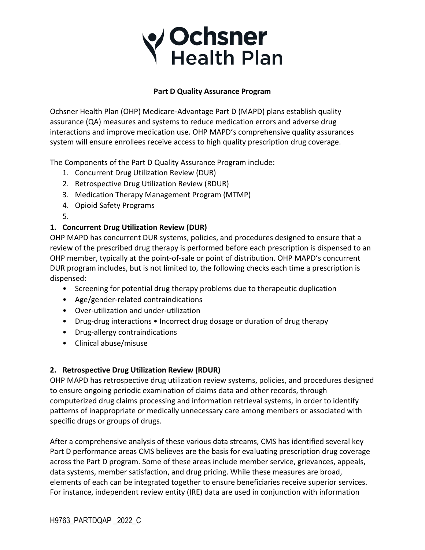## **/ Ochsner**<br>Y Health Plan

#### **Part D Quality Assurance Program**

Ochsner Health Plan (OHP) Medicare-Advantage Part D (MAPD) plans establish quality assurance (QA) measures and systems to reduce medication errors and adverse drug interactions and improve medication use. OHP MAPD's comprehensive quality assurances system will ensure enrollees receive access to high quality prescription drug coverage.

The Components of the Part D Quality Assurance Program include:

- 1. Concurrent Drug Utilization Review (DUR)
- 2. Retrospective Drug Utilization Review (RDUR)
- 3. Medication Therapy Management Program (MTMP)
- 4. Opioid Safety Programs
- 5.

### **1. Concurrent Drug Utilization Review (DUR)**

OHP MAPD has concurrent DUR systems, policies, and procedures designed to ensure that a review of the prescribed drug therapy is performed before each prescription is dispensed to an OHP member, typically at the point-of-sale or point of distribution. OHP MAPD's concurrent DUR program includes, but is not limited to, the following checks each time a prescription is dispensed:

- Screening for potential drug therapy problems due to therapeutic duplication
- Age/gender-related contraindications
- Over-utilization and under-utilization
- Drug-drug interactions Incorrect drug dosage or duration of drug therapy
- Drug-allergy contraindications
- Clinical abuse/misuse

### **2. Retrospective Drug Utilization Review (RDUR)**

OHP MAPD has retrospective drug utilization review systems, policies, and procedures designed to ensure ongoing periodic examination of claims data and other records, through computerized drug claims processing and information retrieval systems, in order to identify patterns of inappropriate or medically unnecessary care among members or associated with specific drugs or groups of drugs.

After a comprehensive analysis of these various data streams, CMS has identified several key Part D performance areas CMS believes are the basis for evaluating prescription drug coverage across the Part D program. Some of these areas include member service, grievances, appeals, data systems, member satisfaction, and drug pricing. While these measures are broad, elements of each can be integrated together to ensure beneficiaries receive superior services. For instance, independent review entity (IRE) data are used in conjunction with information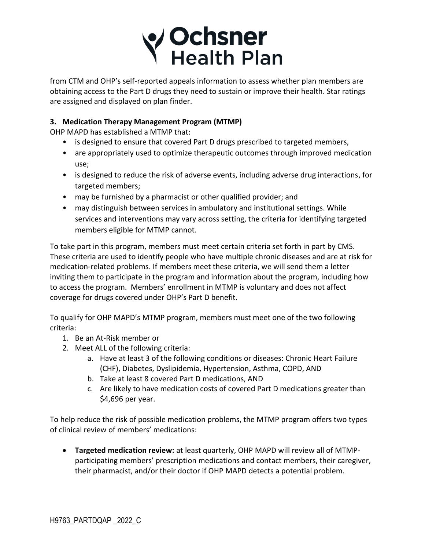

from CTM and OHP's self-reported appeals information to assess whether plan members are obtaining access to the Part D drugs they need to sustain or improve their health. Star ratings are assigned and displayed on plan finder.

#### **3. Medication Therapy Management Program (MTMP)**

OHP MAPD has established a MTMP that:

- is designed to ensure that covered Part D drugs prescribed to targeted members,
- are appropriately used to optimize therapeutic outcomes through improved medication use;
- is designed to reduce the risk of adverse events, including adverse drug interactions, for targeted members;
- may be furnished by a pharmacist or other qualified provider; and
- may distinguish between services in ambulatory and institutional settings. While services and interventions may vary across setting, the criteria for identifying targeted members eligible for MTMP cannot.

To take part in this program, members must meet certain criteria set forth in part by CMS. These criteria are used to identify people who have multiple chronic diseases and are at risk for medication-related problems. If members meet these criteria, we will send them a letter inviting them to participate in the program and information about the program, including how to access the program. Members' enrollment in MTMP is voluntary and does not affect coverage for drugs covered under OHP's Part D benefit.

To qualify for OHP MAPD's MTMP program, members must meet one of the two following criteria:

- 1. Be an At-Risk member or
- 2. Meet ALL of the following criteria:
	- a. Have at least 3 of the following conditions or diseases: Chronic Heart Failure (CHF), Diabetes, Dyslipidemia, Hypertension, Asthma, COPD, AND
	- b. Take at least 8 covered Part D medications, AND
	- c. Are likely to have medication costs of covered Part D medications greater than \$4,696 per year.

To help reduce the risk of possible medication problems, the MTMP program offers two types of clinical review of members' medications:

• **Targeted medication review:** at least quarterly, OHP MAPD will review all of MTMPparticipating members' prescription medications and contact members, their caregiver, their pharmacist, and/or their doctor if OHP MAPD detects a potential problem.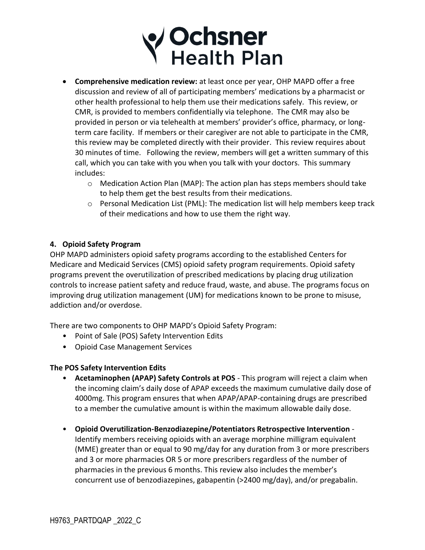# **/ Ochsner**<br>Y Health Plan

- **Comprehensive medication review:** at least once per year, OHP MAPD offer a free discussion and review of all of participating members' medications by a pharmacist or other health professional to help them use their medications safely. This review, or CMR, is provided to members confidentially via telephone. The CMR may also be provided in person or via telehealth at members' provider's office, pharmacy, or longterm care facility. If members or their caregiver are not able to participate in the CMR, this review may be completed directly with their provider. This review requires about 30 minutes of time. Following the review, members will get a written summary of this call, which you can take with you when you talk with your doctors. This summary includes:
	- $\circ$  Medication Action Plan (MAP): The action plan has steps members should take to help them get the best results from their medications.
	- $\circ$  Personal Medication List (PML): The medication list will help members keep track of their medications and how to use them the right way.

#### **4. Opioid Safety Program**

OHP MAPD administers opioid safety programs according to the established Centers for Medicare and Medicaid Services (CMS) opioid safety program requirements. Opioid safety programs prevent the overutilization of prescribed medications by placing drug utilization controls to increase patient safety and reduce fraud, waste, and abuse. The programs focus on improving drug utilization management (UM) for medications known to be prone to misuse, addiction and/or overdose.

There are two components to OHP MAPD's Opioid Safety Program:

- Point of Sale (POS) Safety Intervention Edits
- Opioid Case Management Services

#### **The POS Safety Intervention Edits**

- **Acetaminophen (APAP) Safety Controls at POS** This program will reject a claim when the incoming claim's daily dose of APAP exceeds the maximum cumulative daily dose of 4000mg. This program ensures that when APAP/APAP-containing drugs are prescribed to a member the cumulative amount is within the maximum allowable daily dose.
- **Opioid Overutilization-Benzodiazepine/Potentiators Retrospective Intervention** Identify members receiving opioids with an average morphine milligram equivalent (MME) greater than or equal to 90 mg/day for any duration from 3 or more prescribers and 3 or more pharmacies OR 5 or more prescribers regardless of the number of pharmacies in the previous 6 months. This review also includes the member's concurrent use of benzodiazepines, gabapentin (>2400 mg/day), and/or pregabalin.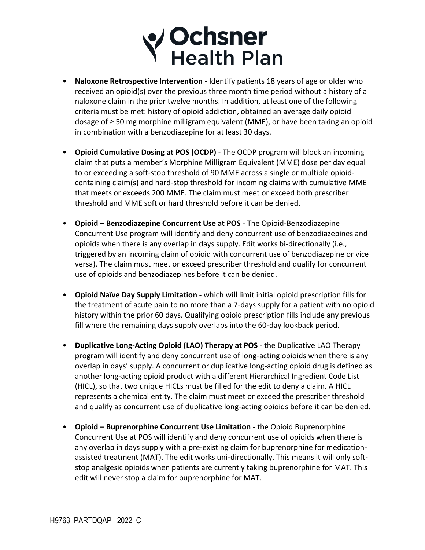# V Ochsner<br>Y Health Plan

- **Naloxone Retrospective Intervention** Identify patients 18 years of age or older who received an opioid(s) over the previous three month time period without a history of a naloxone claim in the prior twelve months. In addition, at least one of the following criteria must be met: history of opioid addiction, obtained an average daily opioid dosage of ≥ 50 mg morphine milligram equivalent (MME), or have been taking an opioid in combination with a benzodiazepine for at least 30 days.
- **Opioid Cumulative Dosing at POS (OCDP)** The OCDP program will block an incoming claim that puts a member's Morphine Milligram Equivalent (MME) dose per day equal to or exceeding a soft-stop threshold of 90 MME across a single or multiple opioidcontaining claim(s) and hard-stop threshold for incoming claims with cumulative MME that meets or exceeds 200 MME. The claim must meet or exceed both prescriber threshold and MME soft or hard threshold before it can be denied.
- **Opioid – Benzodiazepine Concurrent Use at POS** The Opioid-Benzodiazepine Concurrent Use program will identify and deny concurrent use of benzodiazepines and opioids when there is any overlap in days supply. Edit works bi-directionally (i.e., triggered by an incoming claim of opioid with concurrent use of benzodiazepine or vice versa). The claim must meet or exceed prescriber threshold and qualify for concurrent use of opioids and benzodiazepines before it can be denied.
- **Opioid Naïve Day Supply Limitation** which will limit initial opioid prescription fills for the treatment of acute pain to no more than a 7-days supply for a patient with no opioid history within the prior 60 days. Qualifying opioid prescription fills include any previous fill where the remaining days supply overlaps into the 60-day lookback period.
- **Duplicative Long-Acting Opioid (LAO) Therapy at POS** the Duplicative LAO Therapy program will identify and deny concurrent use of long-acting opioids when there is any overlap in days' supply. A concurrent or duplicative long-acting opioid drug is defined as another long-acting opioid product with a different Hierarchical Ingredient Code List (HICL), so that two unique HICLs must be filled for the edit to deny a claim. A HICL represents a chemical entity. The claim must meet or exceed the prescriber threshold and qualify as concurrent use of duplicative long-acting opioids before it can be denied.
- **Opioid – Buprenorphine Concurrent Use Limitation** the Opioid Buprenorphine Concurrent Use at POS will identify and deny concurrent use of opioids when there is any overlap in days supply with a pre-existing claim for buprenorphine for medicationassisted treatment (MAT). The edit works uni-directionally. This means it will only softstop analgesic opioids when patients are currently taking buprenorphine for MAT. This edit will never stop a claim for buprenorphine for MAT.